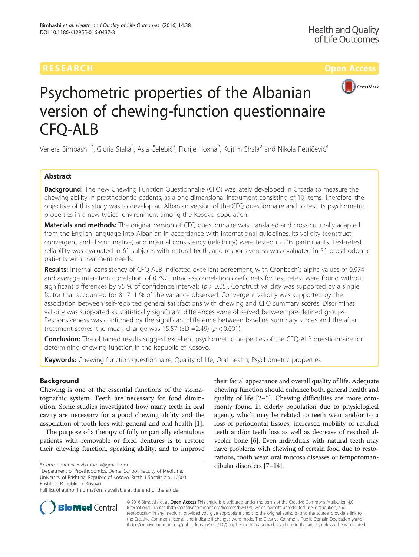

# Psychometric properties of the Albanian version of chewing-function questionnaire CFQ-ALB

Venera Bimbashi<sup>1\*</sup>, Gloria Staka<sup>2</sup>, Asja Čelebić<sup>3</sup>, Flurije Hoxha<sup>2</sup>, Kujtim Shala<sup>2</sup> and Nikola Petričević<sup>4</sup>

### Abstract

**Background:** The new Chewing Function Questionnaire (CFQ) was lately developed in Croatia to measure the chewing ability in prosthodontic patients, as a one-dimensional instrument consisting of 10-items. Therefore, the objective of this study was to develop an Albanian version of the CFQ questionnaire and to test its psychometric properties in a new typical environment among the Kosovo population.

Materials and methods: The original version of CFQ questionnaire was translated and cross-culturally adapted from the English language into Albanian in accordance with international guidelines. Its validity (construct, convergent and discriminative) and internal consistency (reliability) were tested in 205 participants. Test-retest reliability was evaluated in 61 subjects with natural teeth, and responsiveness was evaluated in 51 prosthodontic patients with treatment needs.

Results: Internal consistency of CFQ-ALB indicated excellent agreement, with Cronbach's alpha values of 0.974 and average inter-item correlation of 0.792. Intraclass correlation coeficinets for test-retest were found without significant differences by 95 % of confidence intervals ( $p > 0.05$ ). Construct validity was supported by a single factor that accounted for 81.711 % of the variance observed. Convergent validity was supported by the association between self-reported general satisfactions with chewing and CFQ summary scores. Discriminat validity was supported as statistically significant differences were observed between pre-defined groups. Responsiveness was confirmed by the significant difference between baseline summary scores and the after treatment scores; the mean change was 15.57 (SD =2.49) ( $p < 0.001$ ).

**Conclusion:** The obtained results suggest excellent psychometric properties of the CFQ-ALB questionnaire for determining chewing function in the Republic of Kosovo.

Keywords: Chewing function questionnaire, Quality of life, Oral health, Psychometric properties

#### Background

Chewing is one of the essential functions of the stomatognathic system. Teeth are necessary for food diminution. Some studies investigated how many teeth in oral cavity are necessary for a good chewing ability and the association of tooth loss with general and oral health [[1](#page-7-0)].

The purpose of a therapy of fully or partially edentulous patients with removable or fixed dentures is to restore their chewing function, speaking ability, and to improve

dibular disorders [\[7](#page-7-0)–[14](#page-7-0)]. \* Correspondence: [vbimbashi@gmail.com](mailto:vbimbashi@gmail.com) <sup>1</sup> Department of Prosthodontics, Dental School, Faculty of Medicine, University of Prishtina, Republic of Kosovo, Rrethi i Spitalit p.n., 10000 Prishtina, Republic of Kosovo

their facial appearance and overall quality of life. Adequate chewing function should enhance both, general health and quality of life [[2](#page-7-0)–[5](#page-7-0)]. Chewing difficulties are more commonly found in elderly population due to physiological ageing, which may be related to teeth wear and/or to a loss of periodontal tissues, increased mobility of residual teeth and/or teeth loss as well as decrease of residual alveolar bone [[6](#page-7-0)]. Even individuals with natural teeth may have problems with chewing of certain food due to restorations, tooth wear, oral mucosa diseases or temporoman-



© 2016 Bimbashi et al. Open Access This article is distributed under the terms of the Creative Commons Attribution 4.0 International License [\(http://creativecommons.org/licenses/by/4.0/](http://creativecommons.org/licenses/by/4.0/)), which permits unrestricted use, distribution, and reproduction in any medium, provided you give appropriate credit to the original author(s) and the source, provide a link to the Creative Commons license, and indicate if changes were made. The Creative Commons Public Domain Dedication waiver [\(http://creativecommons.org/publicdomain/zero/1.0/](http://creativecommons.org/publicdomain/zero/1.0/)) applies to the data made available in this article, unless otherwise stated.

Full list of author information is available at the end of the article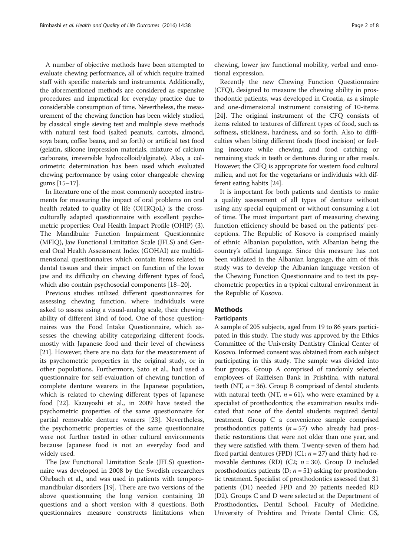A number of objective methods have been attempted to evaluate chewing performance, all of which require trained staff with specific materials and instruments. Additionally, the aforementioned methods are considered as expensive procedures and impractical for everyday practice due to considerable consumption of time. Nevertheless, the measurement of the chewing function has been widely studied, by classical single sieving test and multiple sieve methods with natural test food (salted peanuts, carrots, almond, soya bean, coffee beans, and so forth) or artificial test food (gelatin, silicone impression materials, mixture of calcium carbonate, irreversible hydrocolloid/alginate). Also, a colorimetric determination has been used which evaluated chewing performance by using color changeable chewing gums [[15](#page-7-0)–[17\]](#page-7-0).

In literature one of the most commonly accepted instruments for measuring the impact of oral problems on oral health related to quality of life (OHRQoL) is the crossculturally adapted questionnaire with excellent psychometric properties: Oral Health Impact Profile (OHIP) (3). The Mandibular Function Impairment Questionnaire (MFIQ), Jaw Functional Limitation Scale (JFLS) and General Oral Health Assessment Index (GOHAI) are multidimensional questionnaires which contain items related to dental tissues and their impact on function of the lower jaw and its difficulty on chewing different types of food, which also contain psychosocial components [[18](#page-7-0)–[20\]](#page-7-0).

Previous studies utilized different questionnaires for assessing chewing function, where individuals were asked to assess using a visual-analog scale, their chewing ability of different kind of food. One of those questionnaires was the Food Intake Questionnaire, which assesses the chewing ability categorizing different foods, mostly with Japanese food and their level of chewiness [[21\]](#page-7-0). However, there are no data for the measurement of its psychometric properties in the original study, or in other populations. Furthermore, Sato et al., had used a questionnaire for self-evaluation of chewing function of complete denture wearers in the Japanese population, which is related to chewing different types of Japanese food [\[22\]](#page-7-0). Kazuyoshi et al., in 2009 have tested the psychometric properties of the same questionnaire for partial removable denture wearers [\[23\]](#page-7-0). Nevertheless, the psychometric properties of the same questionnaire were not further tested in other cultural environments because Japanese food is not an everyday food and widely used.

The Jaw Functional Limitation Scale (JFLS) questionnaire was developed in 2008 by the Swedish researchers Ohrbach et al., and was used in patients with temporomandibular disorders [\[19](#page-7-0)]. There are two versions of the above questionnaire; the long version containing 20 questions and a short version with 8 questions. Both questionnaires measure constructs limitations when chewing, lower jaw functional mobility, verbal and emotional expression.

Recently the new Chewing Function Questionnaire (CFQ), designed to measure the chewing ability in prosthodontic patients, was developed in Croatia, as a simple and one-dimensional instrument consisting of 10-items [[24\]](#page-7-0). The original instrument of the CFQ consists of items related to textures of different types of food, such as softness, stickiness, hardness, and so forth. Also to difficulties when biting different foods (food incision) or feeling insecure while chewing, and food catching or remaining stuck in teeth or dentures during or after meals. However, the CFQ is appropriate for western food cultural milieu, and not for the vegetarians or individuals with different eating habits [\[24\]](#page-7-0).

It is important for both patients and dentists to make a quality assessment of all types of denture without using any special equipment or without consuming a lot of time. The most important part of measuring chewing function efficiency should be based on the patients' perceptions. The Republic of Kosovo is comprised mainly of ethnic Albanian population, with Albanian being the country's official language. Since this measure has not been validated in the Albanian language, the aim of this study was to develop the Albanian language version of the Chewing Function Questionnaire and to test its psychometric properties in a typical cultural environment in the Republic of Kosovo.

#### Methods

#### Participants

A sample of 205 subjects, aged from 19 to 86 years participated in this study. The study was approved by the Ethics Committee of the University Dentistry Clinical Center of Kosovo. Informed consent was obtained from each subject participating in this study. The sample was divided into four groups. Group A comprised of randomly selected employees of Raiffeisen Bank in Prishtina, with natural teeth (NT,  $n = 36$ ). Group B comprised of dental students with natural teeth (NT,  $n = 61$ ), who were examined by a specialist of prosthodontics; the examination results indicated that none of the dental students required dental treatment. Group C a convenience sample comprised prosthodontics patients  $(n = 57)$  who already had prosthetic restorations that were not older than one year, and they were satisfied with them. Twenty-seven of them had fixed partial dentures (FPD) (C1;  $n = 27$ ) and thirty had removable dentures (RD) (C2;  $n = 30$ ). Group D included prosthodontics patients (D;  $n = 51$ ) asking for prosthodontic treatment. Specialist of prosthodontics assessed that 31 patients (D1) needed FPD and 20 patients needed RD (D2). Groups C and D were selected at the Department of Prosthodontics, Dental School, Faculty of Medicine, University of Prishtina and Private Dental Clinic GS,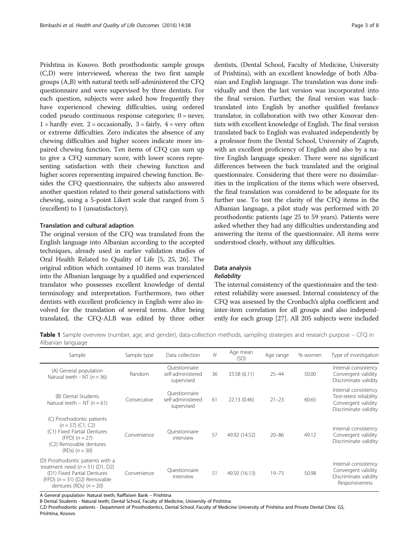<span id="page-2-0"></span>Prishtina in Kosovo. Both prosthodontic sample groups (C,D) were interviewed, whereas the two first sample groups (A,B) with natural teeth self-administered the CFQ questionnaire and were supervised by three dentists. For each question, subjects were asked how frequently they have experienced chewing difficulties, using ordered coded pseudo continuous response categories; 0 = never,  $1 =$  hardly ever,  $2 =$  occasionally,  $3 =$  fairly,  $4 =$  very often or extreme difficulties. Zero indicates the absence of any chewing difficulties and higher scores indicate more impaired chewing function. Ten items of CFQ can sum up to give a CFQ summary score, with lower scores representing satisfaction with their chewing function and higher scores representing impaired chewing function. Besides the CFQ questionnaire, the subjects also answered another question related to their general satisfactions with chewing, using a 5-point Likert scale that ranged from 5 (excellent) to 1 (unsatisfactory).

#### Translation and cultural adaption

The original version of the CFQ was translated from the English language into Albanian according to the accepted techniques, already used in earlier validation studies of Oral Health Related to Quality of Life [\[5](#page-7-0), [25](#page-7-0), [26\]](#page-7-0). The original edition which contained 10 items was translated into the Albanian language by a qualified and experienced translator who possesses excellent knowledge of dental terminology and interpretation. Furthermore, two other dentists with excellent proficiency in English were also involved for the translation of several terms. After being translated, the CFQ-ALB was edited by three other

dentists, (Dental School, Faculty of Medicine, University of Prishtina), with an excellent knowledge of both Albanian and English language. The translation was done individually and then the last version was incorporated into the final version. Further, the final version was backtranslated into English by another qualified freelance translator, in collaboration with two other Kosovar dentists with excellent knowledge of English. The final version translated back to English was evaluated independently by a professor from the Dental School, University of Zagreb, with an excellent proficiency of English and also by a native English language speaker. There were no significant differences between the back translated and the original questionnaire. Considering that there were no dissimilarities in the implication of the items which were observed, the final translation was considered to be adequate for its further use. To test the clarity of the CFQ items in the Albanian language, a pilot study was performed with 20 prosthodontic patients (age 25 to 59 years). Patients were asked whether they had any difficulties understanding and answering the items of the questionnaire. All items were understood clearly, without any difficulties.

#### Data analysis

#### **Reliability**

The internal consistency of the questionnaire and the testretest reliability were assessed. Internal consistency of the CFQ was assessed by the Cronbach's alpha coefficient and inter-item correlation for all groups and also independently for each group [[27](#page-7-0)]. All 205 subjects were included

Table 1 Sample overview (number, age, and gender), data-collection methods, sampling strategies and research purpose – CFQ in Albanian language

| Sample                                                                                                                                                                 | Sample type | Data collection                                  | $\mathcal N$ | Age mean<br>(SD) | Age range | % women | Type of investigation                                                                           |
|------------------------------------------------------------------------------------------------------------------------------------------------------------------------|-------------|--------------------------------------------------|--------------|------------------|-----------|---------|-------------------------------------------------------------------------------------------------|
| (A) General population<br>Natural teeth - NT ( $n = 36$ )                                                                                                              | Random      | Ouestionnaire<br>self-administered<br>supervised | 36           | 33.58 (6.11)     | $25 - 44$ | 50.00   | Internal consistency<br>Convergent validity<br>Discriminate validity                            |
| (B) Dental Students<br>Natural teeth - NT ( $n = 61$ )                                                                                                                 | Consecutive | Ouestionnaire<br>self-administered<br>supervised | 61           | 22.13 (0.46)     | $21 - 23$ | 60.65   | Internal consistency<br>Test-retest reliability<br>Convergent validity<br>Discriminate validity |
| (C) Prosthodontic patients<br>$(n = 57)$ (C1, C2)<br>(C1) Fixed Partial Dentures<br>$(FPD)$ $(n = 27)$<br>(C2) Removable dentures<br>$(RDs)$ $(n = 30)$                | Convenience | Ouestionnaire<br>interview                       | 57           | 49.92 (14.52)    | $20 - 86$ | 49.12   | Internal consistency<br>Convergent validity<br>Discriminate validity                            |
| (D) Prosthodontic patients with a<br>treatment need $(n = 51)$ (D1, D2)<br>(D1) Fixed Partial Dentures<br>(FPD) $(n = 31)$ (D2) Removable<br>dentures (RDs) $(n = 20)$ | Convenience | Ouestionnaire<br>interview                       | 51           | 49.50 (16.13)    | $19 - 73$ | 50.98   | Internal consistency<br>Convergent validity<br>Discriminate validity<br>Responsiveness          |

A General population- Natural teeth; Raiffaisen Bank – Prishtina

B Dental Students - Natural teeth; Dental School, Faculty of Medicine, University of Prishtina

C,D Prosthodontic patients - Department of Prosthodontics, Dental School, Faculty of Medicine University of Prishtina and Private Dental Clinic GS, Prishtina, Kosovo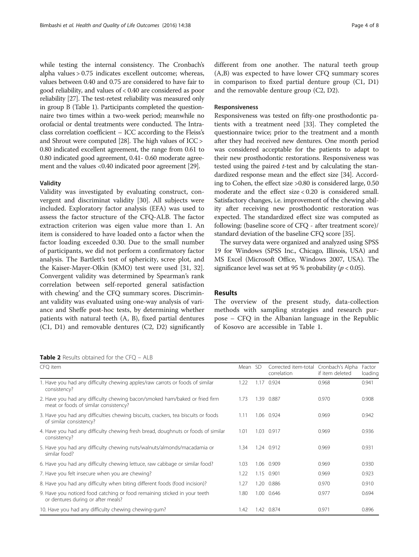<span id="page-3-0"></span>while testing the internal consistency. The Cronbach's alpha values > 0.75 indicates excellent outcome; whereas, values between 0.40 and 0.75 are considered to have fair to good reliability, and values of < 0.40 are considered as poor reliability [[27](#page-7-0)]. The test-retest reliability was measured only in group B (Table [1](#page-2-0)). Participants completed the questionnaire two times within a two-week period; meanwhile no orofacial or dental treatments were conducted. The Intraclass correlation coefficient – ICC according to the Fleiss's and Shrout were computed [\[28\]](#page-7-0). The high values of ICC > 0.80 indicated excellent agreement, the range from 0.61 to 0.80 indicated good agreement, 0.41- 0.60 moderate agree-ment and the values <0.40 indicated poor agreement [\[29](#page-7-0)].

#### Validity

Validity was investigated by evaluating construct, convergent and discriminat validity [\[30\]](#page-7-0). All subjects were included. Exploratory factor analysis (EFA) was used to assess the factor structure of the CFQ-ALB. The factor extraction criterion was eigen value more than 1. An item is considered to have loaded onto a factor when the factor loading exceeded 0.30. Due to the small number of participants, we did not perform a confirmatory factor analysis. The Bartlett's test of sphericity, scree plot, and the Kaiser-Mayer-Olkin (KMO) test were used [[31](#page-7-0), [32](#page-7-0)]. Convergent validity was determined by Spearman's rank correlation between self-reported general satisfaction with chewing' and the CFQ summary scores. Discriminant validity was evaluated using one-way analysis of variance and Sheffe post-hoc tests, by determining whether patients with natural teeth (A, B), fixed partial dentures (C1, D1) and removable dentures (C2, D2) significantly

Table 2 Results obtained for the CFQ - ALB

different from one another. The natural teeth group (A,B) was expected to have lower CFQ summary scores in comparison to fixed partial denture group (C1, D1) and the removable denture group (C2, D2).

#### Responsiveness

Responsiveness was tested on fifty-one prosthodontic patients with a treatment need [\[33](#page-7-0)]. They completed the questionnaire twice; prior to the treatment and a month after they had received new dentures. One month period was considered acceptable for the patients to adapt to their new prosthodontic restorations. Responsiveness was tested using the paired  $t$ -test and by calculating the standardized response mean and the effect size [[34](#page-7-0)]. According to Cohen, the effect size >0.80 is considered large, 0.50 moderate and the effect size < 0.20 is considered small. Satisfactory changes, i.e. improvement of the chewing ability after receiving new prosthodontic restoration was expected. The standardized effect size was computed as following: (baseline score of CFQ - after treatment score)/ standard deviation of the baseline CFQ score [\[35\]](#page-7-0).

The survey data were organized and analyzed using SPSS 19 for Windows (SPSS Inc., Chicago, Illinois, USA) and MS Excel (Microsoft Office, Windows 2007, USA). The significance level was set at 95 % probability ( $p < 0.05$ ).

#### Results

The overview of the present study, data-collection methods with sampling strategies and research purpose – CFQ in the Albanian language in the Republic of Kosovo are accessible in Table [1](#page-2-0).

| CFQ item                                                                                                             | Mean SD |      | Corrected item-total<br>correlation | Cronbach's Alpha<br>if item deleted | Factor<br>loading |
|----------------------------------------------------------------------------------------------------------------------|---------|------|-------------------------------------|-------------------------------------|-------------------|
| 1. Have you had any difficulty chewing apples/raw carrots or foods of similar<br>consistency?                        | 1.22    | 1.17 | 0.924                               | 0.968                               | 0.941             |
| 2. Have you had any difficulty chewing bacon/smoked ham/baked or fried firm<br>meat or foods of similar consistency? | 1.73    | 1.39 | 0.887                               | 0.970                               | 0.908             |
| 3. Have you had any difficulties chewing biscuits, crackers, tea biscuits or foods<br>of similar consistency?        | 1.11    |      | 1.06 0.924                          | 0.969                               | 0.942             |
| 4. Have you had any difficulty chewing fresh bread, doughnuts or foods of similar<br>consistency?                    | 1.01    | 1.03 | 0.917                               | 0.969                               | 0.936             |
| 5. Have you had any difficulty chewing nuts/walnuts/almonds/macadamia or<br>similar food?                            | 1.34    |      | 1.24 0.912                          | 0.969                               | 0.931             |
| 6. Have you had any difficulty chewing lettuce, raw cabbage or similar food?                                         | 1.03    | 1.06 | 0.909                               | 0.969                               | 0.930             |
| 7. Have you felt insecure when you are chewing?                                                                      | 1.22    | 1.15 | 0.901                               | 0.969                               | 0.923             |
| 8. Have you had any difficulty when biting different foods (food incision)?                                          | 1.27    | 1.20 | 0.886                               | 0.970                               | 0.910             |
| 9. Have you noticed food catching or food remaining sticked in your teeth<br>or dentures during or after meals?      | 1.80    |      | 1.00 0.646                          | 0.977                               | 0.694             |
| 10. Have you had any difficulty chewing chewing-gum?                                                                 | 1.42    |      | 1.42 0.874                          | 0.971                               | 0.896             |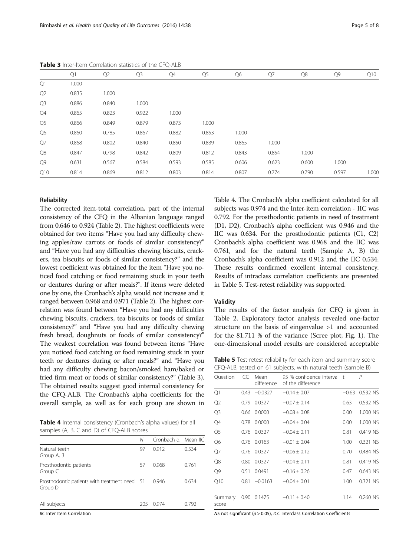|                | Q1    | Q <sub>2</sub> | Q <sub>3</sub> | Q4    | Q <sub>5</sub> | Q6    | Q7    | Q8    | Q9    | Q10   |
|----------------|-------|----------------|----------------|-------|----------------|-------|-------|-------|-------|-------|
| Q1             | 1.000 |                |                |       |                |       |       |       |       |       |
| Q <sub>2</sub> | 0.835 | 1.000          |                |       |                |       |       |       |       |       |
| Q3             | 0.886 | 0.840          | 1.000          |       |                |       |       |       |       |       |
| Q4             | 0.865 | 0.823          | 0.922          | 1.000 |                |       |       |       |       |       |
| Q5             | 0.866 | 0.849          | 0.879          | 0.873 | 1.000          |       |       |       |       |       |
| Q6             | 0.860 | 0.785          | 0.867          | 0.882 | 0.853          | 1.000 |       |       |       |       |
| Q7             | 0.868 | 0.802          | 0.840          | 0.850 | 0.839          | 0.865 | 1.000 |       |       |       |
| Q8             | 0.847 | 0.798          | 0.842          | 0.809 | 0.812          | 0.843 | 0.854 | 1.000 |       |       |
| Q9             | 0.631 | 0.567          | 0.584          | 0.593 | 0.585          | 0.606 | 0.623 | 0.600 | 1.000 |       |
| Q10            | 0.814 | 0.869          | 0.812          | 0.803 | 0.814          | 0.807 | 0.774 | 0.790 | 0.597 | 1.000 |

Table 3 Inter-Item Correlation statistics of the CFQ-ALB

#### Reliability

The corrected item-total correlation, part of the internal consistency of the CFQ in the Albanian language ranged from 0.646 to 0.924 (Table [2](#page-3-0)). The highest coefficients were obtained for two items "Have you had any difficulty chewing apples/raw carrots or foods of similar consistency?" and "Have you had any difficulties chewing biscuits, crackers, tea biscuits or foods of similar consistency?" and the lowest coefficient was obtained for the item "Have you noticed food catching or food remaining stuck in your teeth or dentures during or after meals?". If items were deleted one by one, the Cronbach's alpha would not increase and it ranged between 0.968 and 0.971 (Table [2\)](#page-3-0). The highest correlation was found between "Have you had any difficulties chewing biscuits, crackers, tea biscuits or foods of similar consistency?" and "Have you had any difficulty chewing fresh bread, doughnuts or foods of similar consistency?" The weakest correlation was found between items "Have you noticed food catching or food remaining stuck in your teeth or dentures during or after meals?" and "Have you had any difficulty chewing bacon/smoked ham/baked or fried firm meat or foods of similar consistency?" (Table 3). The obtained results suggest good internal consistency for the CFQ-ALB. The Cronbach's alpha coefficients for the overall sample, as well as for each group are shown in

Table 4 Internal consistency (Cronbach's alpha values) for all samples (A, B, C and D) of CFQ-ALB scores

|                                                          | Ν   | Cronbach a Mean IIC |       |
|----------------------------------------------------------|-----|---------------------|-------|
| Natural teeth<br>Group A, B                              | 97  | 0.912               | 0.534 |
| Prosthodontic patients<br>Group C                        | 57  | 0.968               | 0.761 |
| Prosthodontic patients with treatment need 51<br>Group D |     | 0.946               | 0.634 |
| All subjects                                             | 205 | 0.974               | 0.792 |
| <b>IIC</b> Inter Item Correlation                        |     |                     |       |

IIC Inter Item Correlation

Table 4. The Cronbach's alpha coefficient calculated for all subjects was 0.974 and the Inter-item correlation - IIC was 0.792. For the prosthodontic patients in need of treatment (D1, D2), Cronbach's alpha coefficient was 0.946 and the IIC was 0.634. For the prosthodontic patients (C1, C2) Cronbach's alpha coefficient was 0.968 and the IIC was 0.761, and for the natural teeth (Sample A, B) the Cronbach's alpha coefficient was 0.912 and the IIC 0.534. These results confirmed excellent internal consistency. Results of intraclass correlation coefficients are presented in Table 5. Test-retest reliability was supported.

#### Validity

The results of the factor analysis for CFQ is given in Table [2](#page-3-0). Exploratory factor analysis revealed one-factor structure on the basis of eingenvalue >1 and accounted for the 81.711 % of the variance (Scree plot; Fig. [1\)](#page-5-0). The one-dimensional model results are considered acceptable

Table 5 Test-retest reliability for each item and summary score CFQ-ALB, tested on 61 subjects, with natural teeth (sample B)

| Question         | ICC  | Mean<br>difference | 95 % confidence interval t<br>of the difference |         | $\overline{P}$ |
|------------------|------|--------------------|-------------------------------------------------|---------|----------------|
| Q1               |      | $0.43 -0.0327$     | $-0.14 \pm 0.07$                                | $-0.63$ | 0.532 NS       |
| Q2               |      | 0.79 0.0327        | $-0.07 \pm 0.14$                                | 0.63    | 0.532 NS       |
| Q <sub>3</sub>   |      | 0.66 0.0000        | $-0.08 \pm 0.08$                                | 0.00    | 1.000 NS       |
| Q4               |      | 0.78 0.0000        | $-0.04 \pm 0.04$                                | 0.00    | 1.000 NS       |
| Q <sub>5</sub>   |      | 0.76 0.0327        | $-0.04 \pm 0.11$                                | 0.81    | 0.419 NS       |
| Q <sub>6</sub>   |      | 0.76 0.0163        | $-0.01 \pm 0.04$                                | 1.00    | 0.321 NS       |
| Q7               |      | 0.76 0.0327        | $-0.06 \pm 0.12$                                | 0.70    | 0.484 NS       |
| Q8               |      | 0.80 0.0327        | $-0.04 \pm 0.11$                                | 0.81    | 0.419 NS       |
| Q9               | 0.51 | 0.0491             | $-0.16 \pm 0.26$                                | 0.47    | 0.643 NS       |
| Q10              |      | $0.81 - 0.0163$    | $-0.04 \pm 0.01$                                | 1.00    | 0.321 NS       |
| Summary<br>score | 0.90 | 0.1475             | $-0.11 \pm 0.40$                                | 1.14    | $0.260$ NS     |

NS not significant ( $p > 0.05$ ), ICC Interclass Correlation Coefficients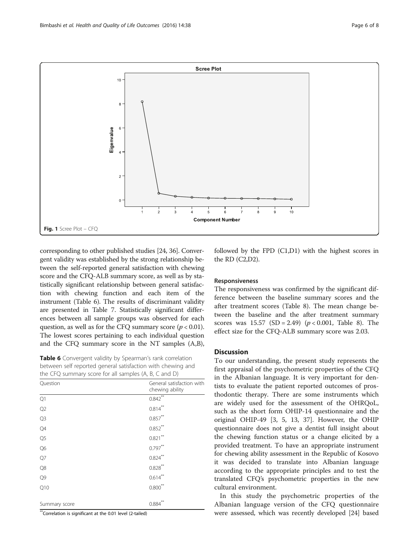<span id="page-5-0"></span>

corresponding to other published studies [\[24, 36](#page-7-0)]. Convergent validity was established by the strong relationship between the self-reported general satisfaction with chewing score and the CFQ-ALB summary score, as well as by statistically significant relationship between general satisfaction with chewing function and each item of the instrument (Table 6). The results of discriminant validity are presented in Table [7.](#page-6-0) Statistically significant differences between all sample groups was observed for each question, as well as for the CFQ summary score ( $p < 0.01$ ). The lowest scores pertaining to each individual question and the CFQ summary score in the NT samples (A,B),

Table 6 Convergent validity by Spearman's rank correlation between self reported general satisfaction with chewing and the CFQ summary score for all samples (A, B, C and D)

| Question       | General satisfaction with<br>chewing ability |
|----------------|----------------------------------------------|
| Q1             | $0.842$ <sup>**</sup>                        |
| Q2             | $0.814***$                                   |
| Q <sub>3</sub> | $0.857***$                                   |
| Q4             | $0.852***$                                   |
| Q <sub>5</sub> | $0.821***$                                   |
| Q6             | $0.797***$                                   |
| Q7             | $0.824***$                                   |
| Q8             | $0.828***$                                   |
| Q <sub>9</sub> | $0.614***$                                   |
| Q10            | $0.800***$                                   |
| Summary score  | 0.884                                        |

\*\*Correlation is significant at the 0.01 level (2-tailed)

followed by the FPD (C1,D1) with the highest scores in the RD (C2,D2).

#### Responsiveness

The responsiveness was confirmed by the significant difference between the baseline summary scores and the after treatment scores (Table [8\)](#page-6-0). The mean change between the baseline and the after treatment summary scores was  $15.57$  (SD = 2.49) ( $p < 0.001$ , Table [8\)](#page-6-0). The effect size for the CFQ-ALB summary score was 2.03.

#### **Discussion**

To our understanding, the present study represents the first appraisal of the psychometric properties of the CFQ in the Albanian language. It is very important for dentists to evaluate the patient reported outcomes of prosthodontic therapy. There are some instruments which are widely used for the assessment of the OHRQoL, such as the short form OHIP-14 questionnaire and the original OHIP-49 [[3, 5](#page-7-0), [13](#page-7-0), [37\]](#page-7-0). However, the OHIP questionnaire does not give a dentist full insight about the chewing function status or a change elicited by a provided treatment. To have an appropriate instrument for chewing ability assessment in the Republic of Kosovo it was decided to translate into Albanian language according to the appropriate principles and to test the translated CFQ's psychometric properties in the new cultural environment.

In this study the psychometric properties of the Albanian language version of the CFQ questionnaire were assessed, which was recently developed [[24](#page-7-0)] based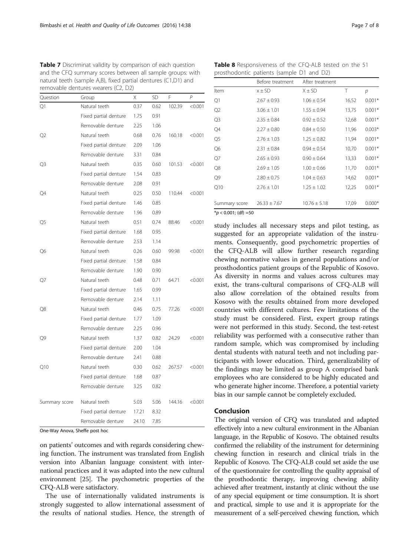| removable dentures wearers (C2, D2) |                       |       |           |        |         |  |
|-------------------------------------|-----------------------|-------|-----------|--------|---------|--|
| Question                            | Group                 | X     | <b>SD</b> | F      | P       |  |
| Q1                                  | Natural teeth         | 0.37  | 0.62      | 102.39 | < 0.001 |  |
|                                     | Fixed partial denture | 1.75  | 0.91      |        |         |  |
|                                     | Removable denture     | 2.25  | 1.06      |        |         |  |
| Q2                                  | Natural teeth         | 0.68  | 0.76      | 160.18 | < 0.001 |  |
|                                     | Fixed partial denture | 2.09  | 1.06      |        |         |  |
|                                     | Removable denture     | 3.31  | 0.84      |        |         |  |
| Q3                                  | Natural teeth         | 0.35  | 0.60      | 101.53 | < 0.001 |  |
|                                     | Fixed partial denture | 1.54  | 0.83      |        |         |  |
|                                     | Removable denture     | 2.08  | 0.91      |        |         |  |
| Q4                                  | Natural teeth         | 0.25  | 0.50      | 110.44 | < 0.001 |  |
|                                     | Fixed partial denture | 1.46  | 0.85      |        |         |  |
|                                     | Removable denture     | 1.96  | 0.89      |        |         |  |
| Q5                                  | Natural teeth         | 0.51  | 0.74      | 88.46  | < 0.001 |  |
|                                     | Fixed partial denture | 1.68  | 0.95      |        |         |  |
|                                     | Removable denture     | 2.53  | 1.14      |        |         |  |
| Q6                                  | Natural teeth         | 0.26  | 0.60      | 99.98  | < 0.001 |  |
|                                     | Fixed partial denture | 1.58  | 0.84      |        |         |  |
|                                     | Removable denture     | 1.90  | 0.90      |        |         |  |
| Q7                                  | Natural teeth         | 0.48  | 0.71      | 64.71  | < 0.001 |  |
|                                     | Fixed partial denture | 1.65  | 0.99      |        |         |  |
|                                     | Removable denture     | 2.14  | 1.11      |        |         |  |
| Q8                                  | Natural teeth         | 0.46  | 0.75      | 77.26  | < 0.001 |  |
|                                     | Fixed partial denture | 1.77  | 1.09      |        |         |  |
|                                     | Removable denture     | 2.25  | 0.96      |        |         |  |
| Q9                                  | Natural teeth         | 1.37  | 0.82      | 24.29  | < 0.001 |  |
|                                     | Fixed partial denture | 2.00  | 1.04      |        |         |  |
|                                     | Removable denture     | 2.41  | 0.88      |        |         |  |
| Q10                                 | Natural teeth         | 0.30  | 0.62      | 267.57 | < 0.001 |  |
|                                     | Fixed partial denture | 1.68  | 0.87      |        |         |  |
|                                     | Removable denture     | 3.25  | 0.82      |        |         |  |
| Summary score                       | Natural teeth         | 5.03  | 5.06      | 144.16 | < 0.001 |  |
|                                     | Fixed partial denture | 17.21 | 8.32      |        |         |  |
|                                     | Removable denture     | 24.10 | 7.85      |        |         |  |

<span id="page-6-0"></span>Table 7 Discriminat validity by comparison of each question and the CFQ summary scores between all sample groups: with natural teeth (sample A,B), fixed partial dentures (C1,D1) and

One-Way Anova, Sheffe post hoc

on patients' outcomes and with regards considering chewing function. The instrument was translated from English version into Albanian language consistent with international practices and it was adapted into the new cultural environment [[25](#page-7-0)]. The psychometric properties of the CFQ-ALB were satisfactory.

The use of internationally validated instruments is strongly suggested to allow international assessment of the results of national studies. Hence, the strength of

Table 8 Responsiveness of the CFQ-ALB tested on the 51 prosthodontic patients (sample D1 and D2)

|                         | Before treatment | After treatment  |       |          |
|-------------------------|------------------|------------------|-------|----------|
| Item                    | $x \pm SD$       | $X \pm SD$       | Τ     | р        |
| Q1                      | $2.67 \pm 0.93$  | $1.06 \pm 0.54$  | 16,52 | $0.001*$ |
| Q2                      | $3.06 \pm 1.01$  | $1.55 \pm 0.94$  | 13,75 | $0.001*$ |
| Q <sub>3</sub>          | $2.35 \pm 0.84$  | $0.92 \pm 0.52$  | 12,68 | $0.001*$ |
| Q4                      | $2.27 \pm 0.80$  | $0.84 \pm 0.50$  | 11,96 | $0.003*$ |
| Q <sub>5</sub>          | $2.76 \pm 1.03$  | $1.25 \pm 0.82$  | 11,94 | $0.001*$ |
| Q6                      | $2.31 \pm 0.84$  | $0.94 \pm 0.54$  | 10,70 | $0.001*$ |
| Q7                      | $2.65 \pm 0.93$  | $0.90 \pm 0.64$  | 13,33 | $0.001*$ |
| Q8                      | $2.69 \pm 1.05$  | $1.00 \pm 0.66$  | 11,70 | $0.001*$ |
| Q9                      | $2.80 \pm 0.75$  | $1.04 \pm 0.63$  | 14,62 | $0.001*$ |
| Q10                     | $2.76 \pm 1.01$  | $1.25 \pm 1.02$  | 12,25 | $0.001*$ |
| Summary score           | $26.33 \pm 7.67$ | $10.76 \pm 5.18$ | 17,09 | $0.000*$ |
| $*_p$ < 0.001; (df) =50 |                  |                  |       |          |

study includes all necessary steps and pilot testing, as suggested for an appropriate validation of the instruments. Consequently, good psychometric properties of the CFQ-ALB will allow further research regarding chewing normative values in general populations and/or prosthodontics patient groups of the Republic of Kosovo. As diversity in norms and values across cultures may exist, the trans-cultural comparisons of CFQ-ALB will also allow correlation of the obtained results from Kosovo with the results obtained from more developed countries with different cultures. Few limitations of the study must be considered. First, expert group ratings were not performed in this study. Second, the test-retest reliability was performed with a consecutive rather than random sample, which was compromised by including dental students with natural teeth and not including participants with lower education. Third, generalizability of the findings may be limited as group A comprised bank employees who are considered to be highly educated and who generate higher income. Therefore, a potential variety bias in our sample cannot be completely excluded.

#### Conclusion

The original version of CFQ was translated and adapted effectively into a new cultural environment in the Albanian language, in the Republic of Kosovo. The obtained results confirmed the reliability of the instrument for determining chewing function in research and clinical trials in the Republic of Kosovo. The CFQ-ALB could set aside the use of the questionnaire for controlling the quality appraisal of the prosthodontic therapy, improving chewing ability achieved after treatment, instantly at clinic without the use of any special equipment or time consumption. It is short and practical, simple to use and it is appropriate for the measurement of a self-perceived chewing function, which